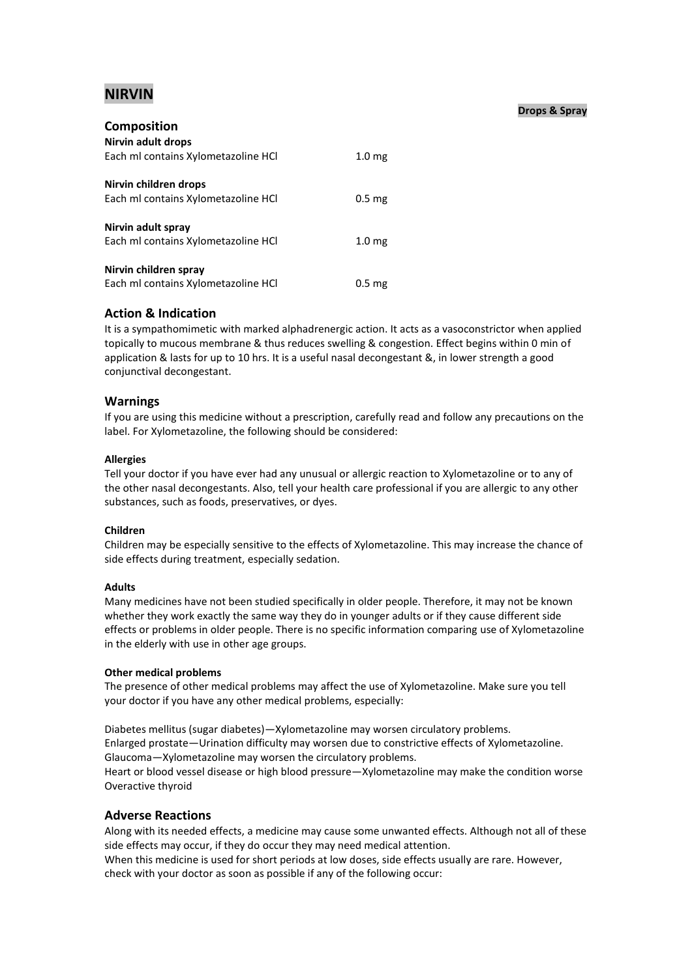# **NIRVIN**

# **Drops & Spray**

| <b>Composition</b>                  |                   |
|-------------------------------------|-------------------|
| Nirvin adult drops                  |                   |
| Each ml contains Xylometazoline HCl | 1.0 <sub>mg</sub> |
|                                     |                   |
| Nirvin children drops               |                   |
| Each ml contains Xylometazoline HCI | 0.5 <sub>mg</sub> |
|                                     |                   |
| Nirvin adult spray                  |                   |
| Each ml contains Xylometazoline HCl | 1.0 <sub>mg</sub> |
|                                     |                   |
| Nirvin children spray               |                   |
| Each ml contains Xylometazoline HCI | 0.5 <sub>mg</sub> |

# **Action & Indication**

It is a sympathomimetic with marked alphadrenergic action. It acts as a vasoconstrictor when applied topically to mucous membrane & thus reduces swelling & congestion. Effect begins within 0 min of application & lasts for up to 10 hrs. It is a useful nasal decongestant &, in lower strength a good conjunctival decongestant.

# **Warnings**

If you are using this medicine without a prescription, carefully read and follow any precautions on the label. For Xylometazoline, the following should be considered:

# **Allergies**

Tell your doctor if you have ever had any unusual or allergic reaction to Xylometazoline or to any of the other nasal decongestants. Also, tell your health care professional if you are allergic to any other substances, such as foods, preservatives, or dyes.

# **Children**

Children may be especially sensitive to the effects of Xylometazoline. This may increase the chance of side effects during treatment, especially sedation.

# **Adults**

Many medicines have not been studied specifically in older people. Therefore, it may not be known whether they work exactly the same way they do in younger adults or if they cause different side effects or problems in older people. There is no specific information comparing use of Xylometazoline in the elderly with use in other age groups.

# **Other medical problems**

The presence of other medical problems may affect the use of Xylometazoline. Make sure you tell your doctor if you have any other medical problems, especially:

Diabetes mellitus (sugar diabetes)—Xylometazoline may worsen circulatory problems. Enlarged prostate—Urination difficulty may worsen due to constrictive effects of Xylometazoline. Glaucoma—Xylometazoline may worsen the circulatory problems. Heart or blood vessel disease or high blood pressure—Xylometazoline may make the condition worse Overactive thyroid

# **Adverse Reactions**

Along with its needed effects, a medicine may cause some unwanted effects. Although not all of these side effects may occur, if they do occur they may need medical attention.

When this medicine is used for short periods at low doses, side effects usually are rare. However, check with your doctor as soon as possible if any of the following occur: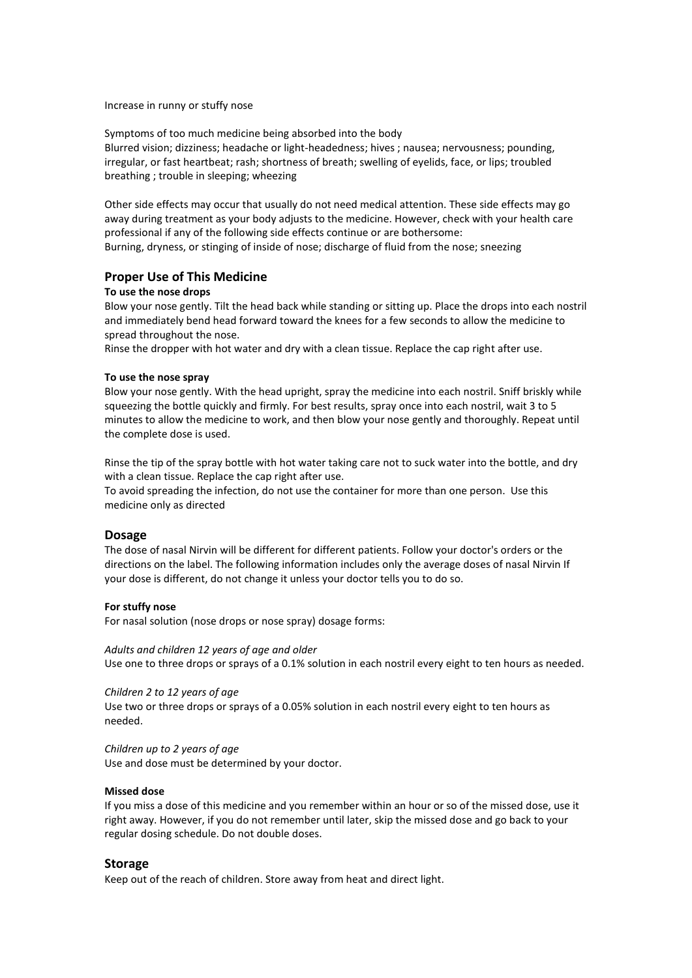#### Increase in runny or stuffy nose

Symptoms of too much medicine being absorbed into the body Blurred vision; dizziness; headache or light-headedness; hives ; nausea; nervousness; pounding, irregular, or fast heartbeat; rash; shortness of breath; swelling of eyelids, face, or lips; troubled breathing ; trouble in sleeping; wheezing

Other side effects may occur that usually do not need medical attention. These side effects may go away during treatment as your body adjusts to the medicine. However, check with your health care professional if any of the following side effects continue or are bothersome: Burning, dryness, or stinging of inside of nose; discharge of fluid from the nose; sneezing

# **Proper Use of This Medicine**

#### **To use the nose drops**

Blow your nose gently. Tilt the head back while standing or sitting up. Place the drops into each nostril and immediately bend head forward toward the knees for a few seconds to allow the medicine to spread throughout the nose.

Rinse the dropper with hot water and dry with a clean tissue. Replace the cap right after use.

#### **To use the nose spray**

Blow your nose gently. With the head upright, spray the medicine into each nostril. Sniff briskly while squeezing the bottle quickly and firmly. For best results, spray once into each nostril, wait 3 to 5 minutes to allow the medicine to work, and then blow your nose gently and thoroughly. Repeat until the complete dose is used.

Rinse the tip of the spray bottle with hot water taking care not to suck water into the bottle, and dry with a clean tissue. Replace the cap right after use.

To avoid spreading the infection, do not use the container for more than one person. Use this medicine only as directed

#### **Dosage**

The dose of nasal Nirvin will be different for different patients. Follow your doctor's orders or the directions on the label. The following information includes only the average doses of nasal Nirvin If your dose is different, do not change it unless your doctor tells you to do so.

#### **For stuffy nose**

For nasal solution (nose drops or nose spray) dosage forms:

*Adults and children 12 years of age and older*

Use one to three drops or sprays of a 0.1% solution in each nostril every eight to ten hours as needed.

*Children 2 to 12 years of age* Use two or three drops or sprays of a 0.05% solution in each nostril every eight to ten hours as needed.

*Children up to 2 years of age* Use and dose must be determined by your doctor.

#### **Missed dose**

If you miss a dose of this medicine and you remember within an hour or so of the missed dose, use it right away. However, if you do not remember until later, skip the missed dose and go back to your regular dosing schedule. Do not double doses.

#### **Storage**

Keep out of the reach of children. Store away from heat and direct light.